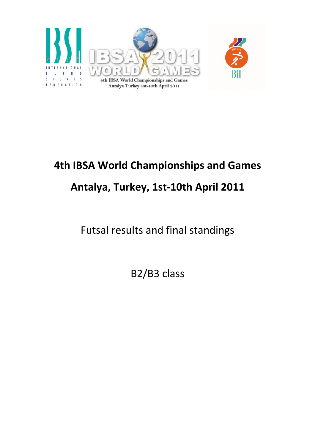

# 4th IBSA World Championships and Games Antalya, Turkey, 1st-10th April 2011

Futsal results and final standings

B2/B3 class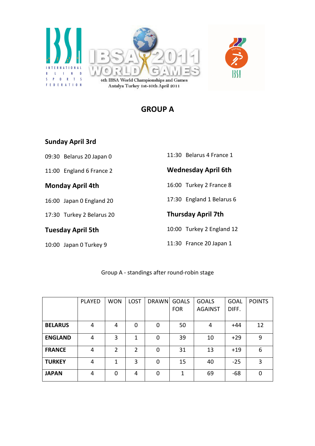



# GROUP A

#### Sunday April 3rd

09:30 Belarus 20 Japan 0

11:00 England 6 France 2

#### Monday April 4th

16:00 Japan 0 England 20

17:30 Turkey 2 Belarus 20

Tuesday April 5th

10:00 Japan 0 Turkey 9

| <b>Wednesday April 6th</b> |
|----------------------------|
| 11:30 Belarus 4 France 1   |

16:00 Turkey 2 France 8

17:30 England 1 Belarus 6

#### Thursday April 7th

10:00 Turkey 2 England 12

11:30 France 20 Japan 1

#### Group A - standings after round-robin stage

|                | <b>PLAYED</b> | <b>WON</b> | <b>LOST</b>    | <b>DRAWN</b> | <b>GOALS</b><br><b>FOR</b> | <b>GOALS</b><br><b>AGAINST</b> | <b>GOAL</b><br>DIFF. | <b>POINTS</b>  |
|----------------|---------------|------------|----------------|--------------|----------------------------|--------------------------------|----------------------|----------------|
|                |               |            |                |              |                            |                                |                      |                |
| <b>BELARUS</b> | 4             | 4          | 0              | $\Omega$     | 50                         | 4                              | $+44$                | 12             |
| <b>ENGLAND</b> | 4             | 3          | 1              | 0            | 39                         | 10                             | $+29$                | 9              |
| <b>FRANCE</b>  | 4             | 2          | $\overline{2}$ | 0            | 31                         | 13                             | $+19$                | 6              |
| <b>TURKEY</b>  | 4             | 1          | 3              | $\Omega$     | 15                         | 40                             | $-25$                | $\overline{3}$ |
| <b>JAPAN</b>   | 4             | $\Omega$   | 4              | $\Omega$     | 1                          | 69                             | -68                  | 0              |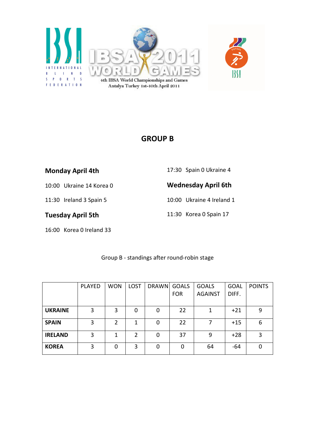

## GROUP B

| <b>Monday April 4th</b> |  |
|-------------------------|--|
|-------------------------|--|

17:30 Spain 0 Ukraine 4

10:00 Ukraine 14 Korea 0

11:30 Ireland 3 Spain 5

Tuesday April 5th

16:00 Korea 0 Ireland 33

Wednesday April 6th

10:00 Ukraine 4 Ireland 1

11:30 Korea 0 Spain 17

|                | <b>PLAYED</b> | <b>WON</b>     | <b>LOST</b> | DRAWN GOALS | <b>FOR</b> | <b>GOALS</b><br><b>AGAINST</b> | <b>GOAL</b><br>DIFF. | <b>POINTS</b> |
|----------------|---------------|----------------|-------------|-------------|------------|--------------------------------|----------------------|---------------|
|                |               |                |             |             |            |                                |                      |               |
| <b>UKRAINE</b> | 3             | 3              | 0           | $\mathbf 0$ | 22         | 1                              | $+21$                | 9             |
| <b>SPAIN</b>   | 3             | $\overline{2}$ | 1           | 0           | 22         | 7                              | $+15$                | 6             |
| <b>IRELAND</b> | 3             | 1              | 2           | 0           | 37         | 9                              | $+28$                | 3             |
| <b>KOREA</b>   | 3             | 0              | 3           | 0           | 0          | 64                             | -64                  | ∩             |

Group B - standings after round-robin stage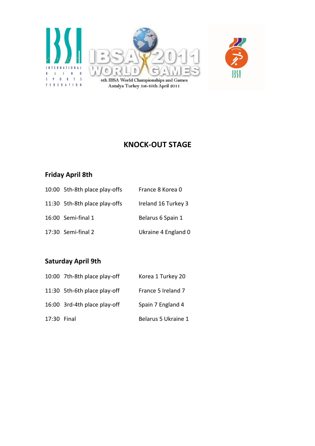



# KNOCK-OUT STAGE

## Friday April 8th

| 10:00 5th-8th place play-offs | France 8 Korea 0    |
|-------------------------------|---------------------|
| 11:30 5th-8th place play-offs | Ireland 16 Turkey 3 |
| 16:00 Semi-final 1            | Belarus 6 Spain 1   |
| 17:30 Semi-final 2            | Ukraine 4 England 0 |

## Saturday April 9th

|             | 10:00 7th-8th place play-off | Korea 1 Turkey 20   |
|-------------|------------------------------|---------------------|
|             | 11:30 5th-6th place play-off | France 5 Ireland 7  |
|             | 16:00 3rd-4th place play-off | Spain 7 England 4   |
| 17:30 Final |                              | Belarus 5 Ukraine 1 |